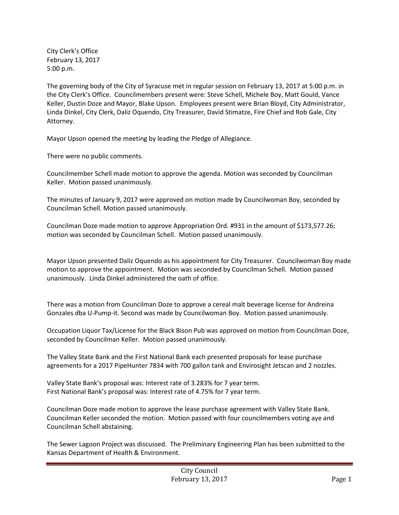City Clerk's Office February 13, 2017 5:00 p.m.

The governing body of the City of Syracuse met in regular session on February 13, 2017 at 5:00 p.m. in the City Clerk's Office. Councilmembers present were: Steve Schell, Michele Boy, Matt Gould, Vance Keller, Dustin Doze and Mayor, Blake Upson. Employees present were Brian Bloyd, City Administrator, Linda Dinkel, City Clerk, Daliz Oquendo, City Treasurer, David Stimatze, Fire Chief and Rob Gale, City Attorney.

Mayor Upson opened the meeting by leading the Pledge of Allegiance.

There were no public comments.

Councilmember Schell made motion to approve the agenda. Motion was seconded by Councilman Keller. Motion passed unanimously.

The minutes of January 9, 2017 were approved on motion made by Councilwoman Boy, seconded by Councilman Schell. Motion passed unanimously.

Councilman Doze made motion to approve Appropriation Ord. #931 in the amount of \$173,577.26; motion was seconded by Councilman Schell. Motion passed unanimously.

Mayor Upson presented Daliz Oquendo as his appointment for City Treasurer. Councilwoman Boy made motion to approve the appointment. Motion was seconded by Councilman Schell. Motion passed unanimously. Linda Dinkel administered the oath of office.

There was a motion from Councilman Doze to approve a cereal malt beverage license for Andreina Gonzales dba U-Pump-it. Second was made by Councilwoman Boy. Motion passed unanimously.

Occupation Liquor Tax/License for the Black Bison Pub was approved on motion from Councilman Doze, seconded by Councilman Keller. Motion passed unanimously.

The Valley State Bank and the First National Bank each presented proposals for lease purchase agreements for a 2017 PipeHunter 7834 with 700 gallon tank and Envirosight Jetscan and 2 nozzles.

Valley State Bank's proposal was: Interest rate of 3.283% for 7 year term. First National Bank's proposal was: Interest rate of 4.75% for 7 year term.

Councilman Doze made motion to approve the lease purchase agreement with Valley State Bank. Councilman Keller seconded the motion. Motion passed with four councilmembers voting aye and Councilman Schell abstaining.

The Sewer Lagoon Project was discussed. The Preliminary Engineering Plan has been submitted to the Kansas Department of Health & Environment.